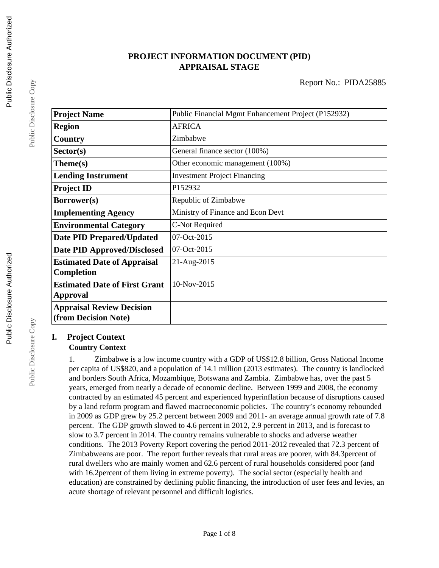# **PROJECT INFORMATION DOCUMENT (PID) APPRAISAL STAGE**

| <b>Project Name</b>                  | Public Financial Mgmt Enhancement Project (P152932) |  |  |
|--------------------------------------|-----------------------------------------------------|--|--|
| <b>Region</b>                        | <b>AFRICA</b>                                       |  |  |
| Country                              | Zimbabwe                                            |  |  |
| Sector(s)                            | General finance sector (100%)                       |  |  |
| Theme(s)                             | Other economic management (100%)                    |  |  |
| <b>Lending Instrument</b>            | <b>Investment Project Financing</b>                 |  |  |
| <b>Project ID</b>                    | P152932                                             |  |  |
| Borrower(s)                          | Republic of Zimbabwe                                |  |  |
| <b>Implementing Agency</b>           | Ministry of Finance and Econ Devt                   |  |  |
| <b>Environmental Category</b>        | C-Not Required                                      |  |  |
| <b>Date PID Prepared/Updated</b>     | 07-Oct-2015                                         |  |  |
| <b>Date PID Approved/Disclosed</b>   | 07-Oct-2015                                         |  |  |
| <b>Estimated Date of Appraisal</b>   | 21-Aug-2015                                         |  |  |
| <b>Completion</b>                    |                                                     |  |  |
| <b>Estimated Date of First Grant</b> | 10-Nov-2015                                         |  |  |
| <b>Approval</b>                      |                                                     |  |  |
| <b>Appraisal Review Decision</b>     |                                                     |  |  |
| (from Decision Note)                 |                                                     |  |  |

# **I. Project Context**

# **Country Context**

1. Zimbabwe is a low income country with a GDP of US\$12.8 billion, Gross National Income per capita of US\$820, and a population of 14.1 million (2013 estimates). The country is landlocked and borders South Africa, Mozambique, Botswana and Zambia. Zimbabwe has, over the past 5 years, emerged from nearly a decade of economic decline. Between 1999 and 2008, the economy contracted by an estimated 45 percent and experienced hyperinflation because of disruptions caused by a land reform program and flawed macroeconomic policies. The country's economy rebounded in 2009 as GDP grew by 25.2 percent between 2009 and 2011- an average annual growth rate of 7.8 percent. The GDP growth slowed to 4.6 percent in 2012, 2.9 percent in 2013, and is forecast to slow to 3.7 percent in 2014. The country remains vulnerable to shocks and adverse weather conditions. The 2013 Poverty Report covering the period 2011-2012 revealed that 72.3 percent of Zimbabweans are poor. The report further reveals that rural areas are poorer, with 84.3percent of rural dwellers who are mainly women and 62.6 percent of rural households considered poor (and with 16.2percent of them living in extreme poverty). The social sector (especially health and education) are constrained by declining public financing, the introduction of user fees and levies, an acute shortage of relevant personnel and difficult logistics.

Public Disclosure Copy

Public Disclosure Copy

Public Disclosure Copy

Public Disclosure Copy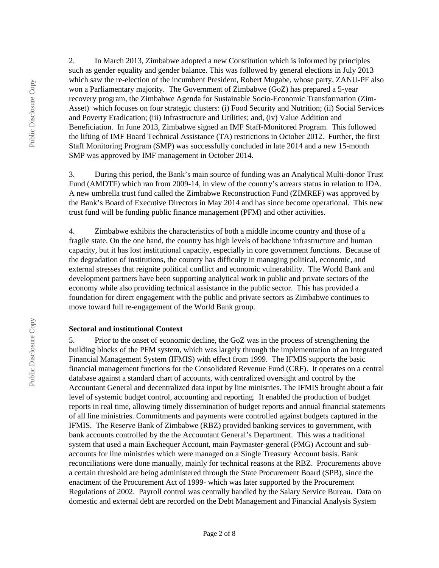2. In March 2013, Zimbabwe adopted a new Constitution which is informed by principles such as gender equality and gender balance. This was followed by general elections in July 2013 which saw the re-election of the incumbent President, Robert Mugabe, whose party, ZANU-PF also won a Parliamentary majority. The Government of Zimbabwe (GoZ) has prepared a 5-year recovery program, the Zimbabwe Agenda for Sustainable Socio-Economic Transformation (Zim-Asset) which focuses on four strategic clusters: (i) Food Security and Nutrition; (ii) Social Services and Poverty Eradication; (iii) Infrastructure and Utilities; and, (iv) Value Addition and Beneficiation. In June 2013, Zimbabwe signed an IMF Staff-Monitored Program. This followed the lifting of IMF Board Technical Assistance (TA) restrictions in October 2012. Further, the first Staff Monitoring Program (SMP) was successfully concluded in late 2014 and a new 15-month SMP was approved by IMF management in October 2014.

3. During this period, the Bank's main source of funding was an Analytical Multi-donor Trust Fund (AMDTF) which ran from 2009-14, in view of the country's arrears status in relation to IDA. A new umbrella trust fund called the Zimbabwe Reconstruction Fund (ZIMREF) was approved by the Bank's Board of Executive Directors in May 2014 and has since become operational. This new trust fund will be funding public finance management (PFM) and other activities.

4. Zimbabwe exhibits the characteristics of both a middle income country and those of a fragile state. On the one hand, the country has high levels of backbone infrastructure and human capacity, but it has lost institutional capacity, especially in core government functions. Because of the degradation of institutions, the country has difficulty in managing political, economic, and external stresses that reignite political conflict and economic vulnerability. The World Bank and development partners have been supporting analytical work in public and private sectors of the economy while also providing technical assistance in the public sector. This has provided a foundation for direct engagement with the public and private sectors as Zimbabwe continues to move toward full re-engagement of the World Bank group.

#### **Sectoral and institutional Context**

5. Prior to the onset of economic decline, the GoZ was in the process of strengthening the building blocks of the PFM system, which was largely through the implementation of an Integrated Financial Management System (IFMIS) with effect from 1999. The IFMIS supports the basic financial management functions for the Consolidated Revenue Fund (CRF). It operates on a central database against a standard chart of accounts, with centralized oversight and control by the Accountant General and decentralized data input by line ministries. The IFMIS brought about a fair level of systemic budget control, accounting and reporting. It enabled the production of budget reports in real time, allowing timely dissemination of budget reports and annual financial statements of all line ministries. Commitments and payments were controlled against budgets captured in the IFMIS. The Reserve Bank of Zimbabwe (RBZ) provided banking services to government, with bank accounts controlled by the the Accountant General's Department. This was a traditional system that used a main Exchequer Account, main Paymaster-general (PMG) Account and subaccounts for line ministries which were managed on a Single Treasury Account basis. Bank reconciliations were done manually, mainly for technical reasons at the RBZ. Procurements above a certain threshold are being administered through the State Procurement Board (SPB), since the enactment of the Procurement Act of 1999- which was later supported by the Procurement Regulations of 2002. Payroll control was centrally handled by the Salary Service Bureau. Data on domestic and external debt are recorded on the Debt Management and Financial Analysis System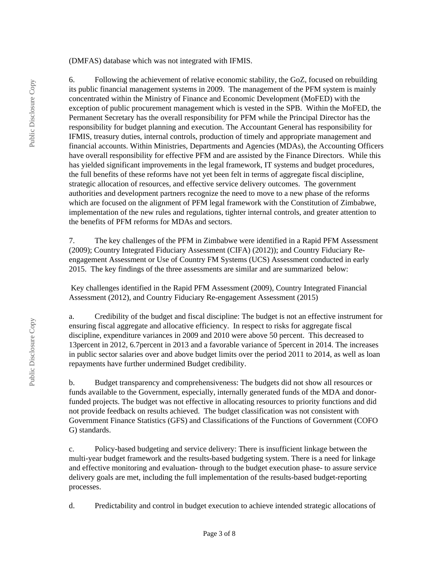(DMFAS) database which was not integrated with IFMIS.

6. Following the achievement of relative economic stability, the GoZ, focused on rebuilding its public financial management systems in 2009. The management of the PFM system is mainly concentrated within the Ministry of Finance and Economic Development (MoFED) with the exception of public procurement management which is vested in the SPB. Within the MoFED, the Permanent Secretary has the overall responsibility for PFM while the Principal Director has the responsibility for budget planning and execution. The Accountant General has responsibility for IFMIS, treasury duties, internal controls, production of timely and appropriate management and financial accounts. Within Ministries, Departments and Agencies (MDAs), the Accounting Officers have overall responsibility for effective PFM and are assisted by the Finance Directors. While this has yielded significant improvements in the legal framework, IT systems and budget procedures, the full benefits of these reforms have not yet been felt in terms of aggregate fiscal discipline, strategic allocation of resources, and effective service delivery outcomes. The government authorities and development partners recognize the need to move to a new phase of the reforms which are focused on the alignment of PFM legal framework with the Constitution of Zimbabwe, implementation of the new rules and regulations, tighter internal controls, and greater attention to the benefits of PFM reforms for MDAs and sectors.

7. The key challenges of the PFM in Zimbabwe were identified in a Rapid PFM Assessment (2009); Country Integrated Fiduciary Assessment (CIFA) (2012)); and Country Fiduciary Reengagement Assessment or Use of Country FM Systems (UCS) Assessment conducted in early 2015. The key findings of the three assessments are similar and are summarized below:

 Key challenges identified in the Rapid PFM Assessment (2009), Country Integrated Financial Assessment (2012), and Country Fiduciary Re-engagement Assessment (2015)

a. Credibility of the budget and fiscal discipline: The budget is not an effective instrument for ensuring fiscal aggregate and allocative efficiency. In respect to risks for aggregate fiscal discipline, expenditure variances in 2009 and 2010 were above 50 percent. This decreased to 13percent in 2012, 6.7percent in 2013 and a favorable variance of 5percent in 2014. The increases in public sector salaries over and above budget limits over the period 2011 to 2014, as well as loan repayments have further undermined Budget credibility.

b. Budget transparency and comprehensiveness: The budgets did not show all resources or funds available to the Government, especially, internally generated funds of the MDA and donorfunded projects. The budget was not effective in allocating resources to priority functions and did not provide feedback on results achieved. The budget classification was not consistent with Government Finance Statistics (GFS) and Classifications of the Functions of Government (COFO G) standards.

c. Policy-based budgeting and service delivery: There is insufficient linkage between the multi-year budget framework and the results-based budgeting system. There is a need for linkage and effective monitoring and evaluation- through to the budget execution phase- to assure service delivery goals are met, including the full implementation of the results-based budget-reporting processes.

d. Predictability and control in budget execution to achieve intended strategic allocations of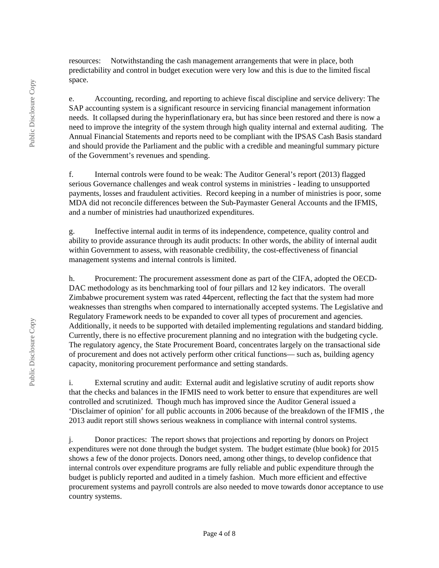resources: Notwithstanding the cash management arrangements that were in place, both predictability and control in budget execution were very low and this is due to the limited fiscal space.

e. Accounting, recording, and reporting to achieve fiscal discipline and service delivery: The SAP accounting system is a significant resource in servicing financial management information needs. It collapsed during the hyperinflationary era, but has since been restored and there is now a need to improve the integrity of the system through high quality internal and external auditing. The Annual Financial Statements and reports need to be compliant with the IPSAS Cash Basis standard and should provide the Parliament and the public with a credible and meaningful summary picture of the Government's revenues and spending.

f. Internal controls were found to be weak: The Auditor General's report (2013) flagged serious Governance challenges and weak control systems in ministries - leading to unsupported payments, losses and fraudulent activities. Record keeping in a number of ministries is poor, some MDA did not reconcile differences between the Sub-Paymaster General Accounts and the IFMIS, and a number of ministries had unauthorized expenditures.

g. Ineffective internal audit in terms of its independence, competence, quality control and ability to provide assurance through its audit products: In other words, the ability of internal audit within Government to assess, with reasonable credibility, the cost-effectiveness of financial management systems and internal controls is limited.

h. Procurement: The procurement assessment done as part of the CIFA, adopted the OECD-DAC methodology as its benchmarking tool of four pillars and 12 key indicators. The overall Zimbabwe procurement system was rated 44percent, reflecting the fact that the system had more weaknesses than strengths when compared to internationally accepted systems. The Legislative and Regulatory Framework needs to be expanded to cover all types of procurement and agencies. Additionally, it needs to be supported with detailed implementing regulations and standard bidding. Currently, there is no effective procurement planning and no integration with the budgeting cycle. The regulatory agency, the State Procurement Board, concentrates largely on the transactional side of procurement and does not actively perform other critical functions— such as, building agency capacity, monitoring procurement performance and setting standards.

i. External scrutiny and audit: External audit and legislative scrutiny of audit reports show that the checks and balances in the IFMIS need to work better to ensure that expenditures are well controlled and scrutinized. Though much has improved since the Auditor General issued a 'Disclaimer of opinion' for all public accounts in 2006 because of the breakdown of the IFMIS , the 2013 audit report still shows serious weakness in compliance with internal control systems.

j. Donor practices: The report shows that projections and reporting by donors on Project expenditures were not done through the budget system. The budget estimate (blue book) for 2015 shows a few of the donor projects. Donors need, among other things, to develop confidence that internal controls over expenditure programs are fully reliable and public expenditure through the budget is publicly reported and audited in a timely fashion. Much more efficient and effective procurement systems and payroll controls are also needed to move towards donor acceptance to use country systems.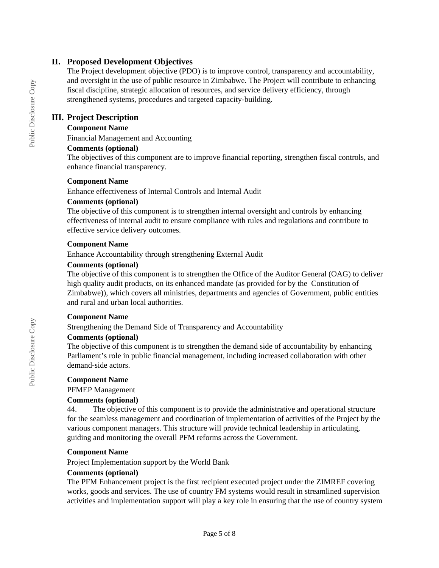## **II. Proposed Development Objectives**

The Project development objective (PDO) is to improve control, transparency and accountability, and oversight in the use of public resource in Zimbabwe. The Project will contribute to enhancing fiscal discipline, strategic allocation of resources, and service delivery efficiency, through strengthened systems, procedures and targeted capacity-building.

## **III. Project Description**

### **Component Name**

Financial Management and Accounting

#### **Comments (optional)**

The objectives of this component are to improve financial reporting, strengthen fiscal controls, and enhance financial transparency.

#### **Component Name**

Enhance effectiveness of Internal Controls and Internal Audit

#### **Comments (optional)**

The objective of this component is to strengthen internal oversight and controls by enhancing effectiveness of internal audit to ensure compliance with rules and regulations and contribute to effective service delivery outcomes.

#### **Component Name**

Enhance Accountability through strengthening External Audit

### **Comments (optional)**

The objective of this component is to strengthen the Office of the Auditor General (OAG) to deliver high quality audit products, on its enhanced mandate (as provided for by the Constitution of Zimbabwe)), which covers all ministries, departments and agencies of Government, public entities and rural and urban local authorities.

#### **Component Name**

Strengthening the Demand Side of Transparency and Accountability

#### **Comments (optional)**

The objective of this component is to strengthen the demand side of accountability by enhancing Parliament's role in public financial management, including increased collaboration with other demand-side actors.

#### **Component Name**

PFMEP Management

#### **Comments (optional)**

44. The objective of this component is to provide the administrative and operational structure for the seamless management and coordination of implementation of activities of the Project by the various component managers. This structure will provide technical leadership in articulating, guiding and monitoring the overall PFM reforms across the Government.

#### **Component Name**

Project Implementation support by the World Bank

#### **Comments (optional)**

The PFM Enhancement project is the first recipient executed project under the ZIMREF covering works, goods and services. The use of country FM systems would result in streamlined supervision activities and implementation support will play a key role in ensuring that the use of country system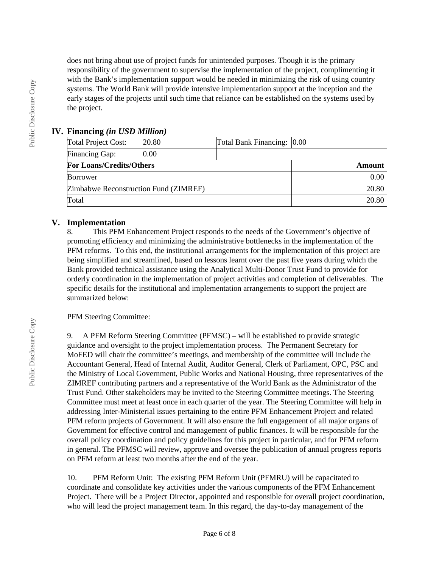does not bring about use of project funds for unintended purposes. Though it is the primary responsibility of the government to supervise the implementation of the project, complimenting it with the Bank's implementation support would be needed in minimizing the risk of using country systems. The World Bank will provide intensive implementation support at the inception and the early stages of the projects until such time that reliance can be established on the systems used by the project.

# **IV. Financing** *(in USD Million)*

| Total Project Cost:                   | 20.80 | Total Bank Financing: 0.00 |       |
|---------------------------------------|-------|----------------------------|-------|
| Financing Gap:                        | 0.00  |                            |       |
| <b>For Loans/Credits/Others</b>       |       | <b>Amount</b>              |       |
| <b>Borrower</b>                       |       |                            | 0.00  |
| Zimbabwe Reconstruction Fund (ZIMREF) |       |                            | 20.80 |
| Total                                 |       | 20.80                      |       |

# **V. Implementation**

8. This PFM Enhancement Project responds to the needs of the Government's objective of promoting efficiency and minimizing the administrative bottlenecks in the implementation of the PFM reforms. To this end, the institutional arrangements for the implementation of this project are being simplified and streamlined, based on lessons learnt over the past five years during which the Bank provided technical assistance using the Analytical Multi-Donor Trust Fund to provide for orderly coordination in the implementation of project activities and completion of deliverables. The specific details for the institutional and implementation arrangements to support the project are summarized below:

# PFM Steering Committee:

9. A PFM Reform Steering Committee (PFMSC) – will be established to provide strategic guidance and oversight to the project implementation process. The Permanent Secretary for MoFED will chair the committee's meetings, and membership of the committee will include the Accountant General, Head of Internal Audit, Auditor General, Clerk of Parliament, OPC, PSC and the Ministry of Local Government, Public Works and National Housing, three representatives of the ZIMREF contributing partners and a representative of the World Bank as the Administrator of the Trust Fund. Other stakeholders may be invited to the Steering Committee meetings. The Steering Committee must meet at least once in each quarter of the year. The Steering Committee will help in addressing Inter-Ministerial issues pertaining to the entire PFM Enhancement Project and related PFM reform projects of Government. It will also ensure the full engagement of all major organs of Government for effective control and management of public finances. It will be responsible for the overall policy coordination and policy guidelines for this project in particular, and for PFM reform in general. The PFMSC will review, approve and oversee the publication of annual progress reports on PFM reform at least two months after the end of the year.

10. PFM Reform Unit: The existing PFM Reform Unit (PFMRU) will be capacitated to coordinate and consolidate key activities under the various components of the PFM Enhancement Project. There will be a Project Director, appointed and responsible for overall project coordination, who will lead the project management team. In this regard, the day-to-day management of the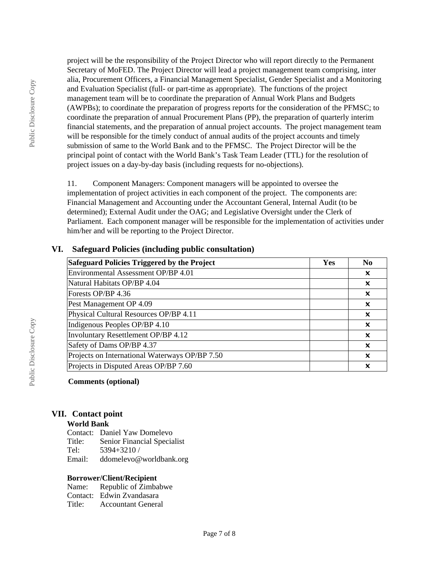Public Disclosure Copy Public Disclosure Copy

project will be the responsibility of the Project Director who will report directly to the Permanent Secretary of MoFED. The Project Director will lead a project management team comprising, inter alia, Procurement Officers, a Financial Management Specialist, Gender Specialist and a Monitoring and Evaluation Specialist (full- or part-time as appropriate). The functions of the project management team will be to coordinate the preparation of Annual Work Plans and Budgets (AWPBs); to coordinate the preparation of progress reports for the consideration of the PFMSC; to coordinate the preparation of annual Procurement Plans (PP), the preparation of quarterly interim financial statements, and the preparation of annual project accounts. The project management team will be responsible for the timely conduct of annual audits of the project accounts and timely submission of same to the World Bank and to the PFMSC. The Project Director will be the principal point of contact with the World Bank's Task Team Leader (TTL) for the resolution of project issues on a day-by-day basis (including requests for no-objections).

11. Component Managers: Component managers will be appointed to oversee the implementation of project activities in each component of the project. The components are: Financial Management and Accounting under the Accountant General, Internal Audit (to be determined); External Audit under the OAG; and Legislative Oversight under the Clerk of Parliament. Each component manager will be responsible for the implementation of activities under him/her and will be reporting to the Project Director.

| Safeguard Policies Triggered by the Project    |  | N <sub>0</sub>            |
|------------------------------------------------|--|---------------------------|
| Environmental Assessment OP/BP 4.01            |  | $\boldsymbol{\mathsf{x}}$ |
| Natural Habitats OP/BP 4.04                    |  | $\boldsymbol{\mathsf{x}}$ |
| Forests OP/BP 4.36                             |  | $\boldsymbol{\mathsf{x}}$ |
| Pest Management OP 4.09                        |  | x                         |
| Physical Cultural Resources OP/BP 4.11         |  | $\boldsymbol{\mathsf{x}}$ |
| Indigenous Peoples OP/BP 4.10                  |  | x                         |
| Involuntary Resettlement OP/BP 4.12            |  | $\boldsymbol{\mathsf{x}}$ |
| Safety of Dams OP/BP 4.37                      |  | $\mathbf x$               |
| Projects on International Waterways OP/BP 7.50 |  | ×                         |
| Projects in Disputed Areas OP/BP 7.60          |  | X                         |

## **VI. Safeguard Policies (including public consultation)**

## **Comments (optional)**

## **VII. Contact point**

#### **World Bank**

Contact: Daniel Yaw Domelevo Title: Senior Financial Specialist<br>Tel: 5394+3210 / Tel: 5394+3210 / Email: ddomelevo@worldbank.org

#### **Borrower/Client/Recipient**

Name: Republic of Zimbabwe Contact: Edwin Zvandasara Title: Accountant General